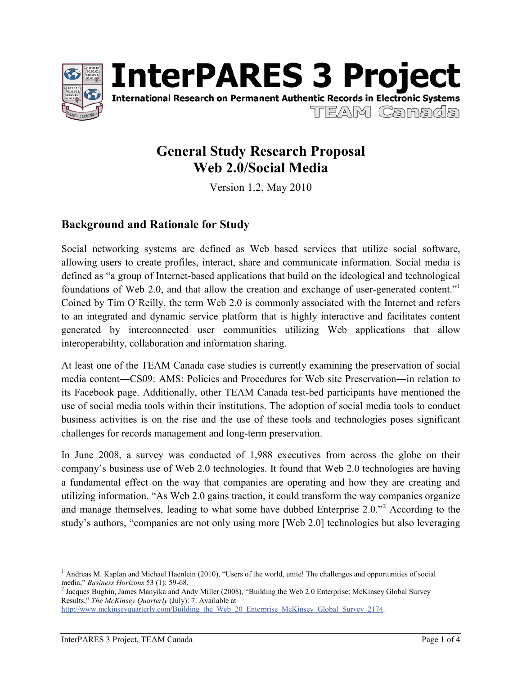



# **General Study Research Proposal Web 2.0/Social Media**

Version 1.2, May 2010

# **Background and Rationale for Study**

Social networking systems are defined as Web based services that utilize social software, allowing users to create profiles, interact, share and communicate information. Social media is defined as "a group of Internet-based applications that build on the ideological and technological foundations of Web 2.0, and that allow the creation and exchange of user-generated content." Coined by Tim O'Reilly, the term Web 2.0 is commonly associated with the Internet and refers to an integrated and dynamic service platform that is highly interactive and facilitates content generated by interconnected user communities utilizing Web applications that allow interoperability, collaboration and information sharing.

At least one of the TEAM Canada case studies is currently examining the preservation of social media content—CS09: AMS: Policies and Procedures for Web site Preservation—in relation to its Facebook page. Additionally, other TEAM Canada test-bed participants have mentioned the use of social media tools within their institutions. The adoption of social media tools to conduct business activities is on the rise and the use of these tools and technologies poses significant challenges for records management and long-term preservation.

In June 2008, a survey was conducted of 1,988 executives from across the globe on their company's business use of Web 2.0 technologies. It found that Web 2.0 technologies are having a fundamental effect on the way that companies are operating and how they are creating and utilizing information. "As Web 2.0 gains traction, it could transform the way companies organize and manage themselves, leading to what some have dubbed Enterprise  $2.0$ ."<sup>2</sup> According to the study's authors, "companies are not only using more [Web 2.0] technologies but also leveraging

<sup>&</sup>lt;sup>1</sup> Andreas M. Kaplan and Michael Haenlein (2010), "Users of the world, unite! The challenges and opportunities of social media," *Business Horizons* 53 (1): 59-68.

<sup>&</sup>lt;sup>2</sup> Jacques Bughin, James Manyika and Andy Miller (2008), "Building the Web 2.0 Enterprise: McKinsey Global Survey Results," *The McKinsey Quarterly* (July): 7. Available at http://www.mckinseyquarterly.com/Building\_the\_Web\_20\_Enterprise\_McKinsey\_Global\_Survey\_2174.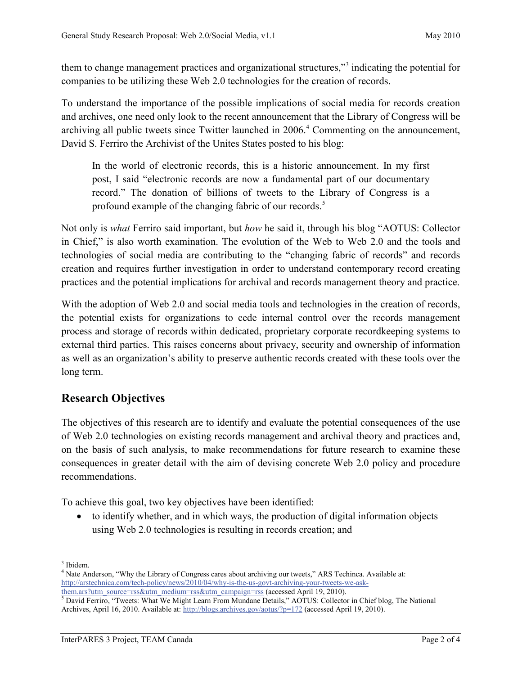them to change management practices and organizational structures,"<sup>3</sup> indicating the potential for companies to be utilizing these Web 2.0 technologies for the creation of records.

To understand the importance of the possible implications of social media for records creation and archives, one need only look to the recent announcement that the Library of Congress will be archiving all public tweets since Twitter launched in 2006. 4 Commenting on the announcement, David S. Ferriro the Archivist of the Unites States posted to his blog:

In the world of electronic records, this is a historic announcement. In my first post, I said "electronic records are now a fundamental part of our documentary record." The donation of billions of tweets to the Library of Congress is a profound example of the changing fabric of our records.<sup>5</sup>

Not only is *what* Ferriro said important, but *how* he said it, through his blog "AOTUS: Collector in Chief," is also worth examination. The evolution of the Web to Web 2.0 and the tools and technologies of social media are contributing to the "changing fabric of records" and records creation and requires further investigation in order to understand contemporary record creating practices and the potential implications for archival and records management theory and practice.

With the adoption of Web 2.0 and social media tools and technologies in the creation of records, the potential exists for organizations to cede internal control over the records management process and storage of records within dedicated, proprietary corporate recordkeeping systems to external third parties. This raises concerns about privacy, security and ownership of information as well as an organization's ability to preserve authentic records created with these tools over the long term.

### **Research Objectives**

The objectives of this research are to identify and evaluate the potential consequences of the use of Web 2.0 technologies on existing records management and archival theory and practices and, on the basis of such analysis, to make recommendations for future research to examine these consequences in greater detail with the aim of devising concrete Web 2.0 policy and procedure recommendations.

To achieve this goal, two key objectives have been identified:

to identify whether, and in which ways, the production of digital information objects using Web 2.0 technologies is resulting in records creation; and

 $\overline{a}$ <sup>3</sup> Ibidem.

<sup>&</sup>lt;sup>4</sup> Nate Anderson, "Why the Library of Congress cares about archiving our tweets," ARS Techinca. Available at: http://arstechnica.com/tech-policy/news/2010/04/why-is-the-us-govt-archiving-your-tweets-we-ask-<br>them.ars?utm\_source=rss&utm\_medium=rss&utm\_campaign=rss (accessed April 19, 2010).

 $\overline{\text{S}}$  David Ferriro, "Tweets: What We Might Learn From Mundane Details," AOTUS: Collector in Chief blog, The National Archives, April 16, 2010. Available at: http://blogs.archives.gov/aotus/?p=172 (accessed April 19, 2010).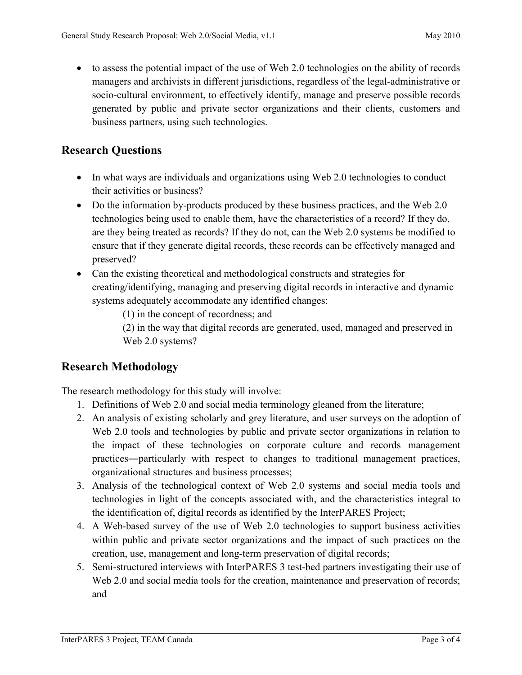to assess the potential impact of the use of Web 2.0 technologies on the ability of records managers and archivists in different jurisdictions, regardless of the legal-administrative or socio-cultural environment, to effectively identify, manage and preserve possible records generated by public and private sector organizations and their clients, customers and business partners, using such technologies.

## **Research Questions**

- In what ways are individuals and organizations using Web 2.0 technologies to conduct their activities or business?
- Do the information by-products produced by these business practices, and the Web 2.0 technologies being used to enable them, have the characteristics of a record? If they do, are they being treated as records? If they do not, can the Web 2.0 systems be modified to ensure that if they generate digital records, these records can be effectively managed and preserved?
- Can the existing theoretical and methodological constructs and strategies for creating/identifying, managing and preserving digital records in interactive and dynamic systems adequately accommodate any identified changes:
	- (1) in the concept of recordness; and
	- (2) in the way that digital records are generated, used, managed and preserved in Web 2.0 systems?

## **Research Methodology**

The research methodology for this study will involve:

- 1. Definitions of Web 2.0 and social media terminology gleaned from the literature;
- 2. An analysis of existing scholarly and grey literature, and user surveys on the adoption of Web 2.0 tools and technologies by public and private sector organizations in relation to the impact of these technologies on corporate culture and records management practices—particularly with respect to changes to traditional management practices, organizational structures and business processes;
- 3. Analysis of the technological context of Web 2.0 systems and social media tools and technologies in light of the concepts associated with, and the characteristics integral to the identification of, digital records as identified by the InterPARES Project;
- 4. A Web-based survey of the use of Web 2.0 technologies to support business activities within public and private sector organizations and the impact of such practices on the creation, use, management and long-term preservation of digital records;
- 5. Semi-structured interviews with InterPARES 3 test-bed partners investigating their use of Web 2.0 and social media tools for the creation, maintenance and preservation of records; and